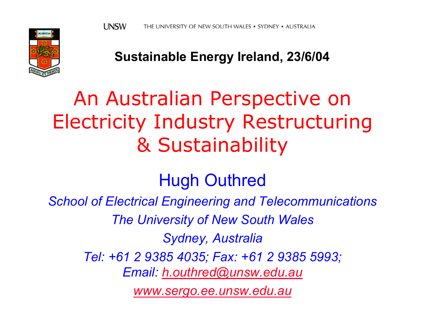

**Sustainable Energy Ireland, 23/6/04**

# An Australian Perspective on Electricity Industry Restructuring & Sustainability

### Hugh Outhred

*School of Electrical Engineering and Telecommunications*

*The University of New South Wales*

*Sydney, Australia*

*Tel: +61 2 9385 4035; Fax: +61 2 9385 5993;* 

*Email: [h.outhred@unsw.edu.au](mailto:h.outhred@unsw.edu.au)*

*[www.sergo.ee.unsw.edu.au](http://www.sergo.ee.unsw.edu.au/)*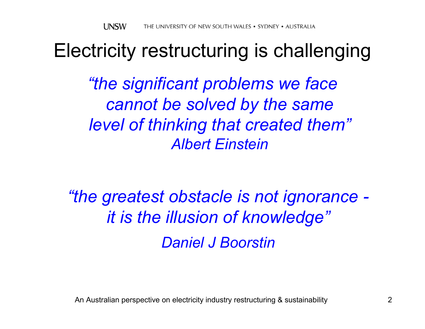### Electricity restructuring is challenging

*"the significant problems we face cannot be solved by the same level of thinking that created them" Albert Einstein*

*"the greatest obstacle is not ignorance it is the illusion of knowledge" Daniel J Boorstin*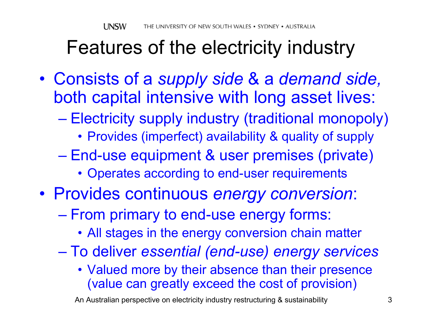# Features of the electricity industry

- $\bullet$  Consists of a *supply side* & a *demand side,*  both capital intensive with long asset lives:
	- $\mathcal{L}_{\mathcal{A}}$  , and the set of the set of the set of the set of the set of the set of the set of the set of the set of the set of the set of the set of the set of the set of the set of the set of the set of the set of th Electricity supply industry (traditional monopoly)
		- Provides (imperfect) availability & quality of supply
	- End-use equipment & user premises (private)
		- Operates according to end-user requirements
- Provides continuous *energy conversion*:
	- From primary to end-use energy forms:
		- All stages in the energy conversion chain matter
	- $\mathcal{L}_{\mathcal{A}}$  , and the set of the set of the set of the set of the set of the set of the set of the set of the set of the set of the set of the set of the set of the set of the set of the set of the set of the set of th To deliver *essential (end-use) energy services*
		- Valued more by their absence than their presence (value can greatly exceed the cost of provision)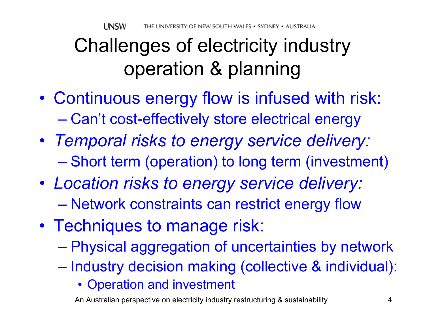# Challenges of electricity industry operation & planning

- $\bullet$  Continuous energy flow is infused with risk:  $\mathcal{L}_{\mathcal{A}}$  , and the set of the set of the set of the set of the set of the set of the set of the set of the set of the set of the set of the set of the set of the set of the set of the set of the set of the set of th Can't cost-effectively store electrical energy
- *Temporal risks to energy service delivery:* – Short term (operation) to long term (investment)
- *Location risks to energy service delivery:*  $\mathcal{L}_{\mathcal{A}}$  , and the set of the set of the set of the set of the set of the set of the set of the set of the set of the set of the set of the set of the set of the set of the set of the set of the set of the set of th Network constraints can restrict energy flow
- Techniques to manage risk:
	- $\mathcal{L}_{\mathcal{A}}$  , and the set of the set of the set of the set of the set of the set of the set of the set of the set of the set of the set of the set of the set of the set of the set of the set of the set of the set of th Physical aggregation of uncertainties by network
	- –– Industry decision making (collective & individual):
		- Operation and investment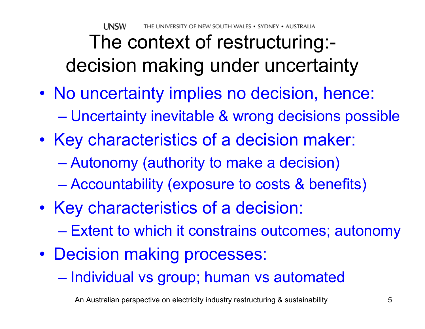**UNSW** THE UNIVERSITY OF NEW SOUTH WALES • SYDNEY • AUSTRALIA

## The context of restructuring: decision making under uncertainty

- No uncertainty implies no decision, hence:  $\mathcal{L}_{\mathcal{A}}$ Uncertainty inevitable & wrong decisions possible
- $\bullet$ • Key characteristics of a decision maker:
	- $\mathcal{L}_{\mathcal{A}}$  , and the set of the set of the set of the set of the set of the set of the set of the set of the set of the set of the set of the set of the set of the set of the set of the set of the set of the set of th Autonomy (authority to make a decision)
	- $\mathcal{L}_{\mathcal{A}}$ Accountability (exposure to costs & benefits)
- $\bullet$ • Key characteristics of a decision:
	- Extent to which it constrains outcomes; autonomy
- Decision making processes:
	- Individual vs group; human vs automated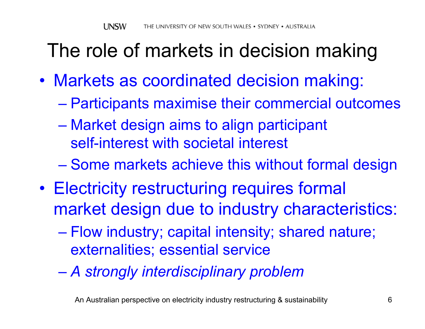## The role of markets in decision making

- Markets as coordinated decision making:
	- $\mathcal{L}_{\mathcal{A}}$ Participants maximise their commercial outcomes
	- $\mathcal{L}_{\mathcal{A}}$  , and the set of the set of the set of the set of the set of the set of the set of the set of the set of the set of the set of the set of the set of the set of the set of the set of the set of the set of th Market design aims to align participant self-interest with societal interest
	- Some markets achieve this without formal design
- $\bullet$  Electricity restructuring requires formal market design due to industry characteristics:
	- $\mathcal{L}_{\mathcal{A}}$  , and the set of the set of the set of the set of the set of the set of the set of the set of the set of the set of the set of the set of the set of the set of the set of the set of the set of the set of th Flow industry; capital intensity; shared nature; externalities; essential service
	- $\mathcal{L}_{\mathcal{A}}$  , and the set of the set of the set of the set of the set of the set of the set of the set of the set of the set of the set of the set of the set of the set of the set of the set of the set of the set of th *A strongly interdisciplinary problem*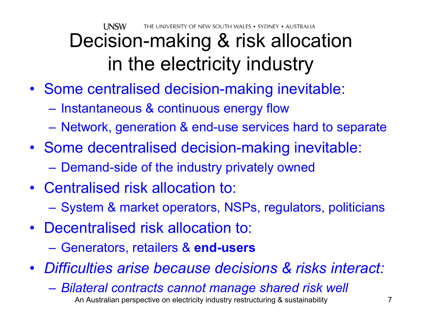UNSW THE UNIVERSITY OF NEW SOUTH WALES • SYDNEY • AUSTRALIA

# Decision-making & risk allocation in the electricity industry

- Some centralised decision-making inevitable:
	- $-$  Instantaneous & continuous energy flow
	- Network, generation & end-use services hard to separate
- Some decentralised decision-making inevitable:
	- Demand-side of the industry privately owned
- Centralised risk allocation to: – System & market operators, NSPs, regulators, politicians
- Decentralised risk allocation to:
	- $\mathcal{L}_{\mathcal{A}}$  , and the set of the set of the set of the set of the set of the set of the set of the set of the set of the set of the set of the set of the set of the set of the set of the set of the set of the set of th Generators, retailers & **end-users**
- *Difficulties arise because decisions & risks interact:*
	- An Australian perspective on electricity industry restructuring & sustainability 7  $\mathcal{L}_{\mathcal{A}}$ *Bilateral contracts cannot manage shared risk well*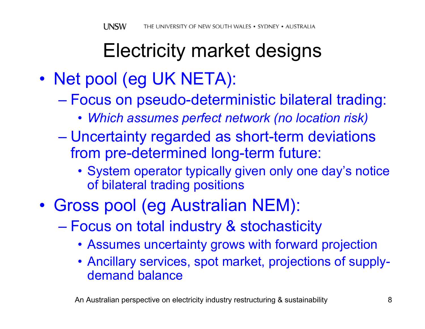## Electricity market designs

- $\bullet$ • Net pool (eg UK NETA):
	- $\mathcal{L}_{\mathcal{A}}$  , and the set of the set of the set of the set of the set of the set of the set of the set of the set of the set of the set of the set of the set of the set of the set of the set of the set of the set of th Focus on pseudo-deterministic bilateral trading:
		- *Which assumes perfect network (no location risk)*
	- Uncertainty regarded as short-term deviations from pre-determined long-term future:
		- System operator typically given only one day's notice of bilateral trading positions
- $\bullet$  Gross pool (eg Australian NEM):
	- $\mathcal{L}_{\mathcal{A}}$  , and the set of the set of the set of the set of the set of the set of the set of the set of the set of the set of the set of the set of the set of the set of the set of the set of the set of the set of th Focus on total industry & stochasticity
		- Assumes uncertainty grows with forward projection
		- Ancillary services, spot market, projections of supplydemand balance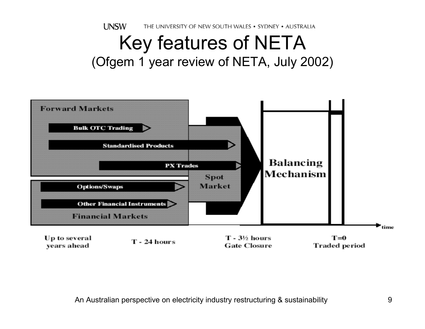**UNSW** THE UNIVERSITY OF NEW SOUTH WALES . SYDNEY . AUSTRALIA

### Key features of NETA (Ofgem 1 year review of NETA, July 2002)

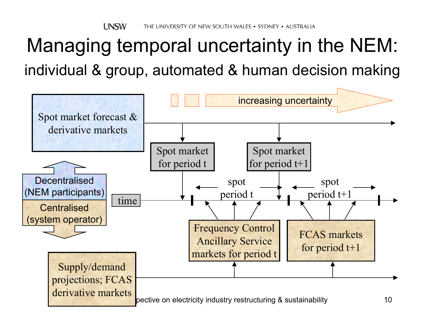## Managing temporal uncertainty in the NEM: individual & group, automated & human decision making

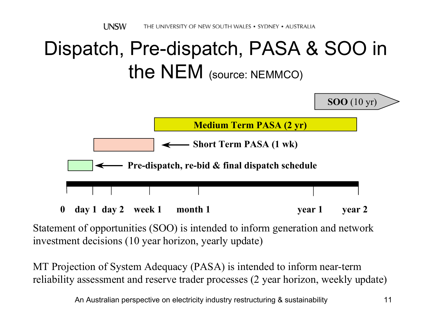## Dispatch, Pre-dispatch, PASA & SOO in the NEM (source: NEMMCO)



Statement of opportunities (SOO) is intended to inform generation and network investment decisions (10 year horizon, yearly update)

MT Projection of System Adequacy (PASA) is intended to inform near-term reliability assessment and reserve trader processes (2 year horizon, weekly update)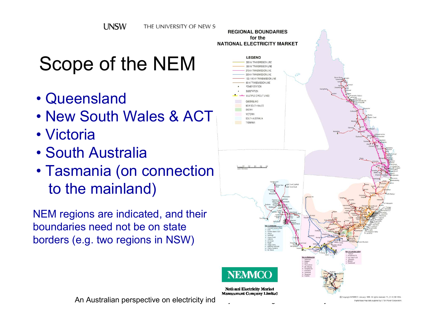# Scope of the NEM

- Queensland
- New South Wales & ACT
- Victoria
- South Australia
- Tasmania (on connection to the mainland)

NEM regions are indicated, and their boundaries need not be on state borders (e.g. two regions in NSW)



An Australian perspective on electricity industrial and the computation and the magis of the sustainable sustainable sustainable sustainable sustainable sustainable sustainable sustainable sustainable sustainable sustainab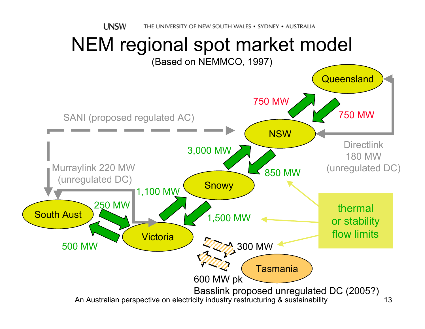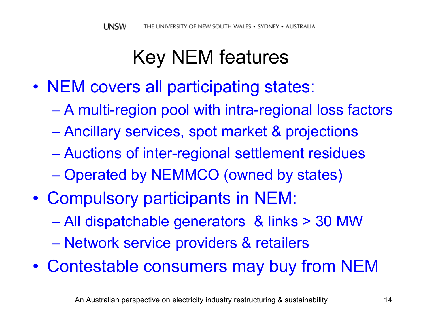## Key NEM features

- NEM covers all participating states:
	- $\mathcal{L}_{\mathcal{A}}$ A multi-region pool with intra-regional loss factors
	- $\mathcal{L}_{\mathcal{A}}$  , and the set of the set of the set of the set of the set of the set of the set of the set of the set of the set of the set of the set of the set of the set of the set of the set of the set of the set of th Ancillary services, spot market & projections
	- Auctions of inter-regional settlement residues
	- Operated by NEMMCO (owned by states)
- $\bullet$  Compulsory participants in NEM:
	- $\mathcal{L}_{\mathcal{A}}$  , and the set of the set of the set of the set of the set of the set of the set of the set of the set of the set of the set of the set of the set of the set of the set of the set of the set of the set of th All dispatchable generators & links > 30 MW
	- Network service providers & retailers
- $\bullet$ Contestable consumers may buy from NEM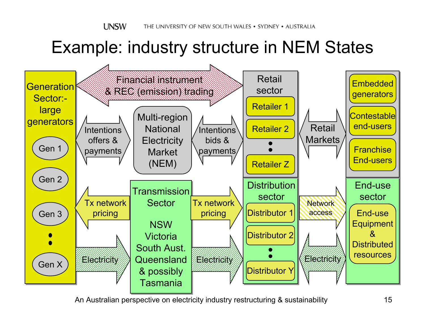### Example: industry structure in NEM States

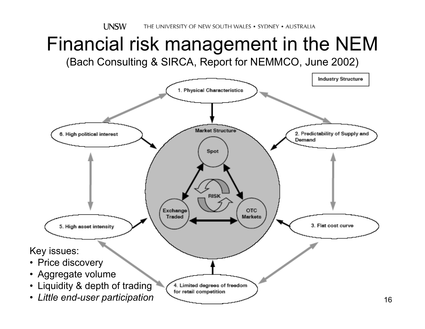### Financial risk management in the NEM (Bach Consulting & SIRCA, Report for NEMMCO, June 2002)

![](_page_15_Figure_2.jpeg)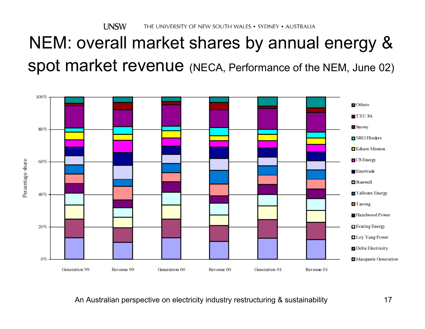### NEM: overall market shares by annual energy & spot market revenue (NECA, Performance of the NEM, June 02)

![](_page_16_Figure_2.jpeg)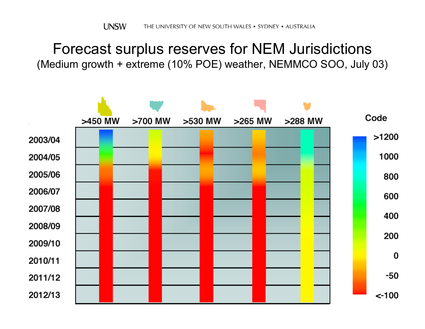#### Forecast surplus reserves for NEM Jurisdictions (Medium growth + extreme (10% POE) weather, NEMMCO SOO, July 03)

![](_page_17_Figure_2.jpeg)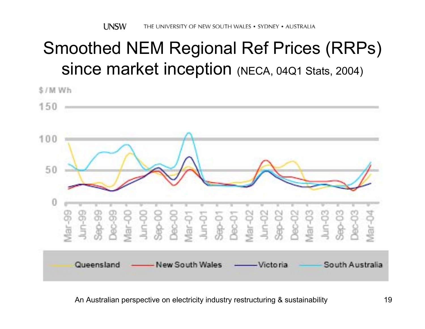### Smoothed NEM Regional Ref Prices (RRPs) since market inception (NECA, 04Q1 Stats, 2004)

![](_page_18_Figure_2.jpeg)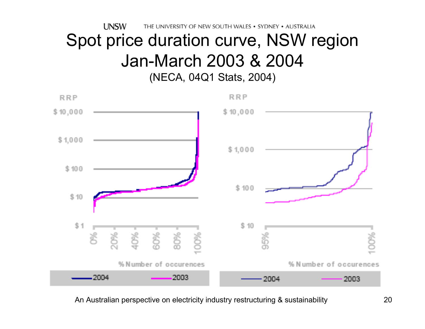**UNSW** THE UNIVERSITY OF NEW SOUTH WALES . SYDNEY . AUSTRALIA

### Spot price duration curve, NSW region Jan-March 2003 & 2004 (NECA, 04Q1 Stats, 2004)

![](_page_19_Figure_2.jpeg)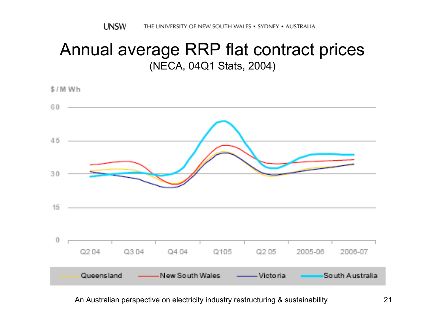### Annual average RRP flat contract prices (NECA, 04Q1 Stats, 2004)

![](_page_20_Figure_2.jpeg)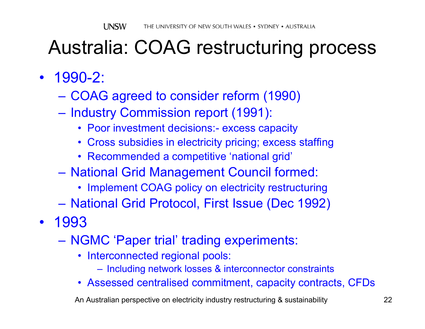## Australia: COAG restructuring process

- 1990-2:
	- COAG agreed to consider reform (1990)
	- Industry Commission report (1991):
		- Poor investment decisions:- excess capacity
		- Cross subsidies in electricity pricing; excess staffing
		- Recommended a competitive 'national grid'
	- National Grid Management Council formed:
		- Implement COAG policy on electricity restructuring
	- $\mathcal{L}_{\mathcal{A}}$  , and the set of the set of the set of the set of the set of the set of the set of the set of the set of the set of the set of the set of the set of the set of the set of the set of the set of the set of th – National Grid Protocol, First Issue (Dec 1992)
- 1993
	- NGMC 'Paper trial' trading experiments:
		- Interconnected regional pools:
			- Including network losses & interconnector constraints
		- Assessed centralised commitment, capacity contracts, CFDs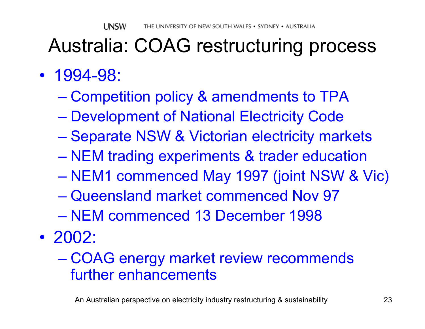### Australia: COAG restructuring process

- 1994-98:
	- $\mathcal{L}_{\mathcal{A}}$  , and the set of the set of the set of the set of the set of the set of the set of the set of the set of the set of the set of the set of the set of the set of the set of the set of the set of the set of th Competition policy & amendments to TPA
	- Development of National Electricity Code
	- $\mathcal{L}_{\mathcal{A}}$  , and the set of the set of the set of the set of the set of the set of the set of the set of the set of the set of the set of the set of the set of the set of the set of the set of the set of the set of th – Separate NSW & Victorian electricity markets
	- $\mathcal{L}_{\mathcal{A}}$  , and the set of the set of the set of the set of the set of the set of the set of the set of the set of the set of the set of the set of the set of the set of the set of the set of the set of the set of th NEM trading experiments & trader education
	- NEM1 commenced May 1997 (joint NSW & Vic)
	- Queensland market commenced Nov 97
	- NEM commenced 13 December 1998
- 2002:
	- $\mathcal{L}_{\mathcal{A}}$  , and the set of the set of the set of the set of the set of the set of the set of the set of the set of the set of the set of the set of the set of the set of the set of the set of the set of the set of th COAG energy market review recommends further enhancements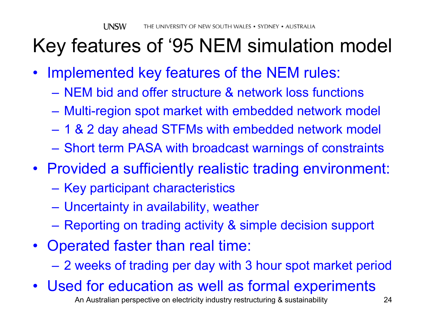## Key features of '95 NEM simulation model

- $\bullet$  Implemented key features of the NEM rules:
	- NEM bid and offer structure & network loss functions
	- Multi-region spot market with embedded network model
	- 1 & 2 day ahead STFMs with embedded network model
	- Short term PASA with broadcast warnings of constraints
- Provided a sufficiently realistic trading environment:
	- Key participant characteristics
	- Uncertainty in availability, weather
	- Reporting on trading activity & simple decision support
- Operated faster than real time:
	- 2 weeks of trading per day with 3 hour spot market period
- An Australian perspective on electricity industry restructuring & sustainability 24 •Used for education as well as formal experiments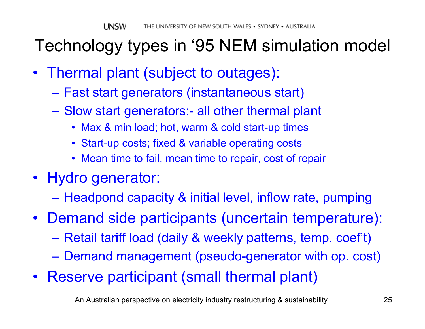### Technology types in '95 NEM simulation model

- Thermal plant (subject to outages):
	- Fast start generators (instantaneous start)
	- Slow start generators:- all other thermal plant
		- Max & min load; hot, warm & cold start-up times
		- Start-up costs; fixed & variable operating costs
		- Mean time to fail, mean time to repair, cost of repair
- Hydro generator:
	- Headpond capacity & initial level, inflow rate, pumping
- Demand side participants (uncertain temperature):
	- Retail tariff load (daily & weekly patterns, temp. coef't)
	- Demand management (pseudo-generator with op. cost)
- Reserve participant (small thermal plant)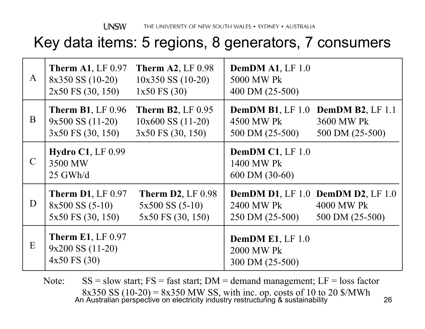#### Key data items: 5 regions, 8 generators, 7 consumers

| $\mathbf{A}$  | <b>Therm A1, LF 0.97</b><br>$8x350$ SS $(10-20)$<br>$2x50$ FS $(30, 150)$ | <b>Therm A2, LF 0.98</b><br>$10x350$ SS $(10-20)$<br>$1x50$ FS $(30)$  | <b>DemDM A1, LF 1.0</b><br>5000 MW Pk<br>400 DM (25-500)                  |                               |
|---------------|---------------------------------------------------------------------------|------------------------------------------------------------------------|---------------------------------------------------------------------------|-------------------------------|
| B             | <b>Therm B1, LF 0.96</b><br>$9x500$ SS $(11-20)$<br>3x50 FS (30, 150)     | <b>Therm B2, LF 0.95</b><br>$10x600$ SS $(11-20)$<br>3x50 FS (30, 150) | <b>DemDM B1, LF 1.0 DemDM B2, LF 1.1</b><br>4500 MW Pk<br>500 DM (25-500) | 3600 MW Pk<br>500 DM (25-500) |
| $\mathcal{C}$ | Hydro $C1$ , LF 0.99<br>3500 MW<br>$25$ GWh/d                             |                                                                        | DemDM $C1$ , LF 1.0<br>1400 MW Pk<br>600 DM (30-60)                       |                               |
| D             | <b>Therm D1, LF 0.97</b><br>$8x500$ SS $(5-10)$<br>5x50 FS (30, 150)      | <b>Therm D2, LF 0.98</b><br>$5x500$ SS $(5-10)$<br>5x50 FS (30, 150)   | <b>DemDM D1, LF 1.0 DemDM D2, LF 1.0</b><br>2400 MW Pk<br>250 DM (25-500) | 4000 MW Pk<br>500 DM (25-500) |
| E             | <b>Therm E1, LF 0.97</b><br>$9x200$ SS $(11-20)$<br>4x50 FS (30)          |                                                                        | <b>DemDM E1, LF 1.0</b><br>2000 MW Pk<br>300 DM (25-500)                  |                               |

An Australian perspective on electricity industry restructuring & sustainability 26 Note: $SS =$ slow start;  $FS =$  fast start;  $DM =$  demand management;  $LF =$  loss factor 8x350 SS (10-20) = 8x350 MW SS, with inc. op. costs of 10 to 20 \$/MWh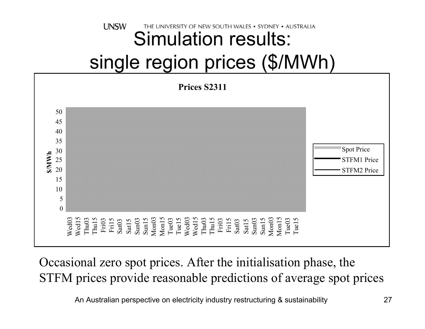#### **UNSW** THE UNIVERSITY OF NEW SOUTH WALES • SYDNEY • AUSTRAUA Simulation results: single region prices (\$/MWh)

![](_page_26_Figure_1.jpeg)

Occasional zero spot prices. After the initialisation phase, the STFM prices provide reasonable predictions of average spot prices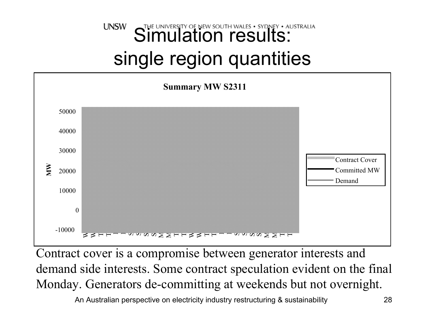### Simulation results: SYDNEY . AUSTRALIA **UNSW** single region quantities

![](_page_27_Figure_1.jpeg)

Contract cover is a compromise between generator interests and demand side interests. Some contract speculation evident on the final Monday. Generators de-committing at weekends but not overnight.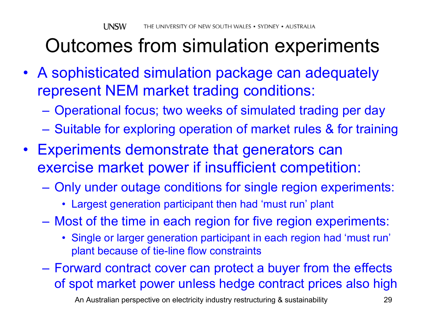## Outcomes from simulation experiments

- A sophisticated simulation package can adequately represent NEM market trading conditions:
	- $\mathcal{L}_{\mathcal{A}}$ Operational focus; two weeks of simulated trading per day
	- $\mathcal{L}_{\mathcal{A}}$ – Suitable for exploring operation of market rules & for training
- Experiments demonstrate that generators can exercise market power if insufficient competition:
	- $\mathcal{L}_{\mathcal{A}}$  , and the set of the set of the set of the set of the set of the set of the set of the set of the set of the set of the set of the set of the set of the set of the set of the set of the set of the set of th Only under outage conditions for single region experiments:
		- Largest generation participant then had 'must run' plant
	- Most of the time in each region for five region experiments:
		- Single or larger generation participant in each region had 'must run' plant because of tie-line flow constraints
	- Forward contract cover can protect a buyer from the effects of spot market power unless hedge contract prices also high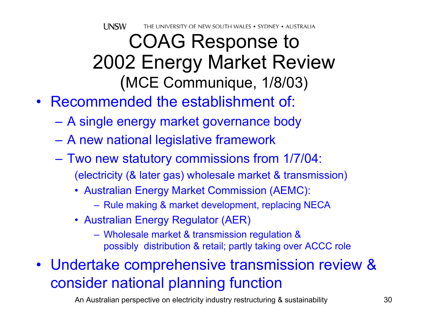**UNSW** THE UNIVERSITY OF NEW SOUTH WALES • SYDNEY • AUSTRALIA

### COAG Response to 2002 Energy Market Review (MCE Communique, 1/8/03)

- Recommended the establishment of:
	- A single energy market governance body
	- A new national legislative framework
	- Two new statutory commissions from 1/7/04: (electricity (& later gas) wholesale market & transmission)
		- Australian Energy Market Commission (AEMC):
			- Rule making & market development, replacing NECA
		- Australian Energy Regulator (AER)
			- Wholesale market & transmission regulation & possibly distribution & retail; partly taking over ACCC role
- Undertake comprehensive transmission review & consider national planning function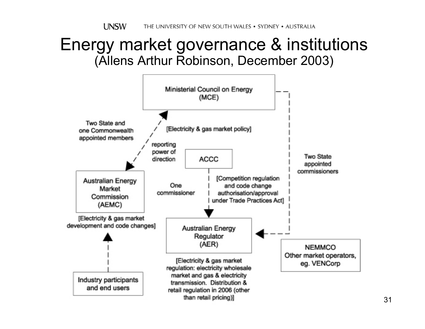**UNSW** THE UNIVERSITY OF NEW SOUTH WALES . SYDNEY . AUSTRALIA

### Energy market governance & institutions (Allens Arthur Robinson, December 2003)

![](_page_30_Figure_2.jpeg)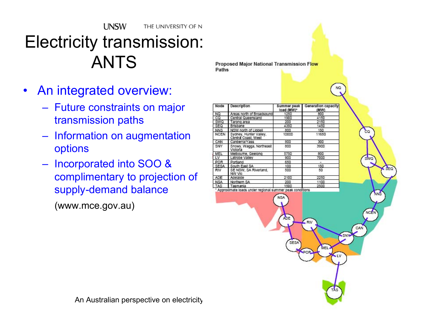**UNSW** THE UNIVERSITY OF N Electricity transmission: ANTS

- $\bullet$  An integrated overview:
	- Future constraints on major transmission paths
	- Information on augmentation options
	- Incorporated into SOO & complimentary to projection of supply-demand balance

(www.mce.gov.au)

**Proposed Major National Transmission Flow** Paths

| Node       | Description                                               | Summer peak<br>load (MW)* | Generation capacity<br>(MW) |
|------------|-----------------------------------------------------------|---------------------------|-----------------------------|
| NQ         | Areas north of Broadsound                                 | 1250                      | 800                         |
| ca         | Central Queensland                                        | 1900                      | 4150                        |
| SWQ        | Tarong area                                               | 200                       | 2150                        |
| SEQ        | Brisbane                                                  | 4350                      | 1450                        |
| <b>NNS</b> | NSW north of Liddell                                      | 800                       | 150                         |
| NCEN       | Sydney, Hunter Valley,<br>Central Coast, West             | 10000                     | 11650                       |
| CAN        | Canberra/Yass                                             | 800                       | 300                         |
| SNY        | Snowy, Wagga, Northeast<br>Victoria                       | 800                       | 3900                        |
| MEL        | Melbourne, Geelong                                        | 5750                      | 800                         |
| LV         | Latrobe Valley                                            | 900                       | 7000                        |
| <b>POR</b> | Portland                                                  | 650                       | $\overline{\phantom{a}}$    |
| SESA       | South East SA                                             | 100                       | 150                         |
| <b>RIV</b> | SE NSW, SA Riverland,<br>NW Vic                           | 500                       | 50                          |
| <b>ADE</b> | Adelaide                                                  | 2100                      | 2250                        |
| <b>NSA</b> | Northern SA                                               | 200                       | 1100                        |
| TAS        | Tasmania                                                  | 1500                      | 2500                        |
|            | * Approximate loads under regional summer peak conditions | <b>NSA</b>                |                             |
|            |                                                           | <b>ADE</b><br>SESA        | RN<br>MEL.                  |
|            |                                                           |                           | <b>POR</b>                  |

An Australian perspective on electricity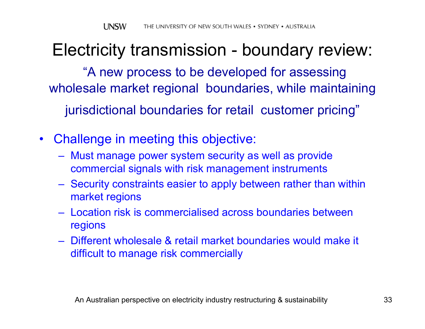### Electricity transmission - boundary review:

"A new process to be developed for assessing wholesale market regional boundaries, while maintaining jurisdictional boundaries for retail customer pricing"

- $\bullet$  Challenge in meeting this objective:
	- Must manage power system security as well as provide commercial signals with risk management instruments
	- Security constraints easier to apply between rather than within market regions
	- Location risk is commercialised across boundaries between regions
	- Different wholesale & retail market boundaries would make it difficult to manage risk commercially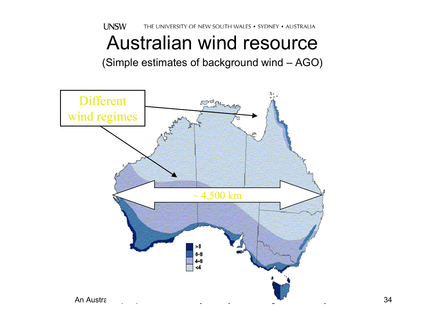**UNSW** THE UNIVERSITY OF NEW SOUTH WALES . SYDNEY . AUSTRALIA Australian wind resource

(Simple estimates of background wind – AGO)

![](_page_33_Picture_2.jpeg)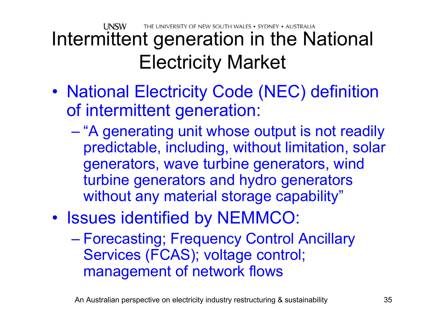#### **LINSW** THE UNIVERSITY OF NEW SOUTH WALES • SYDNEY • AUSTRALIA Intermittent generation in the National Electricity Market

- $\bullet$ • National Electricity Code (NEC) definition of intermittent generation:
	- "A generating unit whose output is not readily predictable, including, without limitation, solar generators, wave turbine generators, wind turbine generators and hydro generators without any material storage capability"
- $\bullet$ • Issues identified by NEMMCO:
	- $\mathcal{L}_{\mathcal{A}}$  Forecasting; Frequency Control Ancillary Services (FCAS); voltage control; management of network flows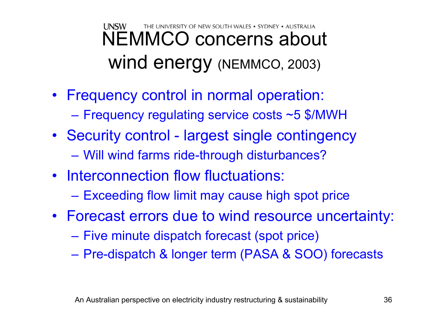#### **UNSW** THE UNIVERSITY OF NEW SOUTH WALES • SYDNEY • AUSTRALIA NEMMCO concerns about wind energy (NEMMCO, 2003)

- Frequency control in normal operation:
	- Frequency regulating service costs ~5 \$/MWH
- Security control largest single contingency Will wind farms ride-through disturbances?
- Interconnection flow fluctuations:
	- Exceeding flow limit may cause high spot price
- Forecast errors due to wind resource uncertainty:
	- $\mathcal{L}_{\mathcal{A}}$  , and the set of the set of the set of the set of the set of the set of the set of the set of the set of the set of the set of the set of the set of the set of the set of the set of the set of the set of th – Five minute dispatch forecast (spot price)
	- $\mathcal{L}_{\mathcal{A}}$  , and the set of the set of the set of the set of the set of the set of the set of the set of the set of the set of the set of the set of the set of the set of the set of the set of the set of the set of th Pre-dispatch & longer term (PASA & SOO) forecasts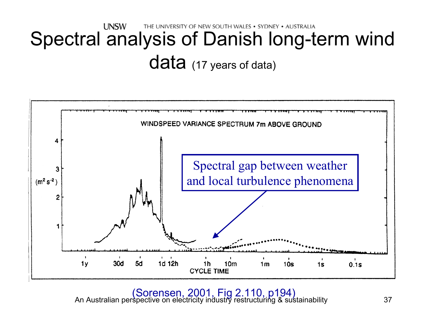#### **UNSW** THE UNIVERSITY OF NEW SOUTH WALES . SYDNEY . AUSTRALIA Spectral analysis of Danish long-term wind data (17 years of data)

![](_page_36_Figure_1.jpeg)

An Australian perspective on electricity industry restructuring & sustainability 37 (Sorensen, 2001, Fig 2.110, p194)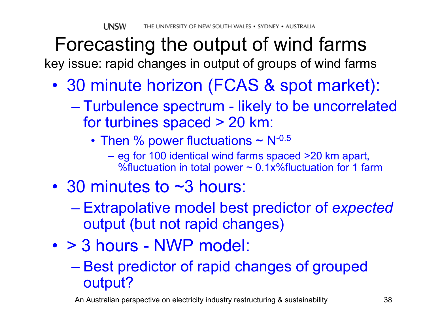# Forecasting the output of wind farms

key issue: rapid changes in output of groups of wind farms

- $\bullet$  30 minute horizon (FCAS & spot market):
	- $\mathcal{L}_{\mathcal{A}}$  , and the set of the set of the set of the set of the set of the set of the set of the set of the set of the set of the set of the set of the set of the set of the set of the set of the set of the set of th Turbulence spectrum - likely to be uncorrelated for turbines spaced > 20 km:
		- Then % power fluctuations  $\sim$  N<sup>-0.5</sup>
			- eg for 100 identical wind farms spaced >20 km apart, %fluctuation in total power  $\sim 0.1x$ %fluctuation for 1 farm
- 30 minutes to ~3 hours:
	- $\mathcal{L}_{\mathcal{A}}$  , and the set of the set of the set of the set of the set of the set of the set of the set of the set of the set of the set of the set of the set of the set of the set of the set of the set of the set of th Extrapolative model best predictor of *expected* output (but not rapid changes)
- > 3 hours NWP model:
	- –- Best predictor of rapid changes of grouped output?